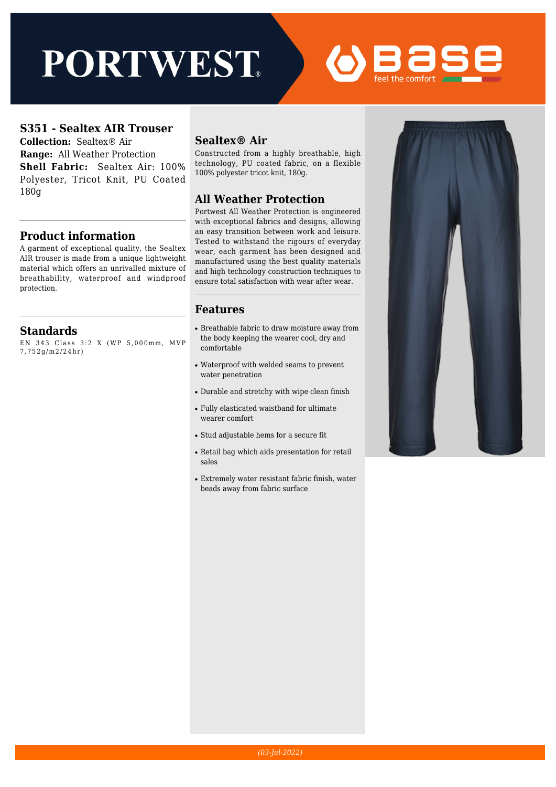# **PORTWEST**



#### **S351 - Sealtex AIR Trouser**

**Collection:** Sealtex® Air **Range:** All Weather Protection **Shell Fabric:** Sealtex Air: 100% Polyester, Tricot Knit, PU Coated 180g

#### **Product information**

A garment of exceptional quality, the Sealtex AIR trouser is made from a unique lightweight material which offers an unrivalled mixture of breathability, waterproof and windproof protection.

#### **Standards**

EN 343 Class 3:2 X (WP 5,000mm, MVP 7,752g/m2/24hr)

#### **Sealtex® Air**

Constructed from a highly breathable, high technology, PU coated fabric, on a flexible 100% polyester tricot knit, 180g.

#### **All Weather Protection**

Portwest All Weather Protection is engineered with exceptional fabrics and designs, allowing an easy transition between work and leisure. Tested to withstand the rigours of everyday wear, each garment has been designed and manufactured using the best quality materials and high technology construction techniques to ensure total satisfaction with wear after wear.

#### **Features**

- Breathable fabric to draw moisture away from the body keeping the wearer cool, dry and comfortable
- Waterproof with welded seams to prevent water penetration
- Durable and stretchy with wipe clean finish
- Fully elasticated waistband for ultimate wearer comfort
- Stud adjustable hems for a secure fit
- Retail bag which aids presentation for retail sales
- Extremely water resistant fabric finish, water beads away from fabric surface